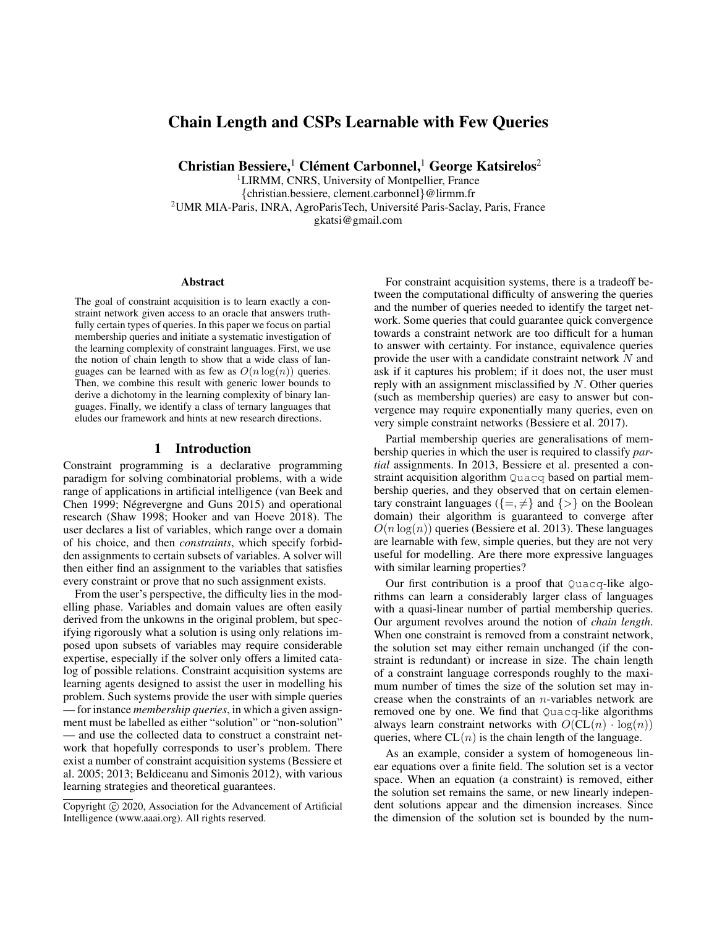# Chain Length and CSPs Learnable with Few Queries

Christian Bessiere,<sup>1</sup> Clément Carbonnel,<sup>1</sup> George Katsirelos<sup>2</sup>

<sup>1</sup>LIRMM, CNRS, University of Montpellier, France {christian.bessiere, clement.carbonnel}@lirmm.fr <sup>2</sup>UMR MIA-Paris, INRA, AgroParisTech, Université Paris-Saclay, Paris, France gkatsi@gmail.com

#### Abstract

The goal of constraint acquisition is to learn exactly a constraint network given access to an oracle that answers truthfully certain types of queries. In this paper we focus on partial membership queries and initiate a systematic investigation of the learning complexity of constraint languages. First, we use the notion of chain length to show that a wide class of languages can be learned with as few as  $O(n \log(n))$  queries. Then, we combine this result with generic lower bounds to derive a dichotomy in the learning complexity of binary languages. Finally, we identify a class of ternary languages that eludes our framework and hints at new research directions.

### 1 Introduction

Constraint programming is a declarative programming paradigm for solving combinatorial problems, with a wide range of applications in artificial intelligence (van Beek and Chen 1999; Négrevergne and Guns 2015) and operational research (Shaw 1998; Hooker and van Hoeve 2018). The user declares a list of variables, which range over a domain of his choice, and then *constraints*, which specify forbidden assignments to certain subsets of variables. A solver will then either find an assignment to the variables that satisfies every constraint or prove that no such assignment exists.

From the user's perspective, the difficulty lies in the modelling phase. Variables and domain values are often easily derived from the unkowns in the original problem, but specifying rigorously what a solution is using only relations imposed upon subsets of variables may require considerable expertise, especially if the solver only offers a limited catalog of possible relations. Constraint acquisition systems are learning agents designed to assist the user in modelling his problem. Such systems provide the user with simple queries — for instance *membership queries*, in which a given assignment must be labelled as either "solution" or "non-solution" — and use the collected data to construct a constraint network that hopefully corresponds to user's problem. There exist a number of constraint acquisition systems (Bessiere et al. 2005; 2013; Beldiceanu and Simonis 2012), with various learning strategies and theoretical guarantees.

For constraint acquisition systems, there is a tradeoff between the computational difficulty of answering the queries and the number of queries needed to identify the target network. Some queries that could guarantee quick convergence towards a constraint network are too difficult for a human to answer with certainty. For instance, equivalence queries provide the user with a candidate constraint network N and ask if it captures his problem; if it does not, the user must reply with an assignment misclassified by  $N$ . Other queries (such as membership queries) are easy to answer but convergence may require exponentially many queries, even on very simple constraint networks (Bessiere et al. 2017).

Partial membership queries are generalisations of membership queries in which the user is required to classify *partial* assignments. In 2013, Bessiere et al. presented a constraint acquisition algorithm Quacq based on partial membership queries, and they observed that on certain elementary constraint languages ( $\{=\neq\}$  and  $\{>\}$  on the Boolean domain) their algorithm is guaranteed to converge after  $O(n \log(n))$  queries (Bessiere et al. 2013). These languages are learnable with few, simple queries, but they are not very useful for modelling. Are there more expressive languages with similar learning properties?

Our first contribution is a proof that Quacq-like algorithms can learn a considerably larger class of languages with a quasi-linear number of partial membership queries. Our argument revolves around the notion of *chain length*. When one constraint is removed from a constraint network, the solution set may either remain unchanged (if the constraint is redundant) or increase in size. The chain length of a constraint language corresponds roughly to the maximum number of times the size of the solution set may increase when the constraints of an n-variables network are removed one by one. We find that Quacq-like algorithms always learn constraint networks with  $O(Cl(n) \cdot log(n))$ queries, where  $CL(n)$  is the chain length of the language.

As an example, consider a system of homogeneous linear equations over a finite field. The solution set is a vector space. When an equation (a constraint) is removed, either the solution set remains the same, or new linearly independent solutions appear and the dimension increases. Since the dimension of the solution set is bounded by the num-

Copyright (c) 2020, Association for the Advancement of Artificial Intelligence (www.aaai.org). All rights reserved.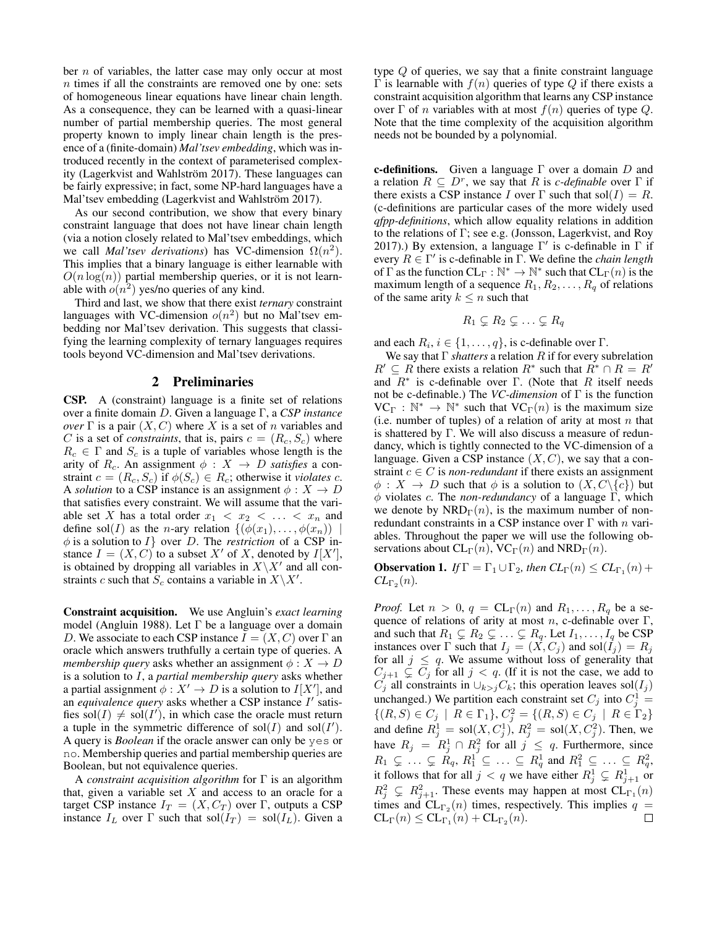ber  $n$  of variables, the latter case may only occur at most n times if all the constraints are removed one by one: sets of homogeneous linear equations have linear chain length. As a consequence, they can be learned with a quasi-linear number of partial membership queries. The most general property known to imply linear chain length is the presence of a (finite-domain) *Mal'tsev embedding*, which was introduced recently in the context of parameterised complexity (Lagerkvist and Wahlström 2017). These languages can be fairly expressive; in fact, some NP-hard languages have a Mal'tsev embedding (Lagerkvist and Wahlström 2017).

As our second contribution, we show that every binary constraint language that does not have linear chain length (via a notion closely related to Mal'tsev embeddings, which we call *Mal'tsev derivations*) has VC-dimension  $\Omega(n^2)$ . This implies that a binary language is either learnable with  $O(n \log(n))$  partial membership queries, or it is not learnable with  $o(n^2)$  yes/no queries of any kind.

Third and last, we show that there exist *ternary* constraint languages with VC-dimension  $o(n^2)$  but no Mal'tsev embedding nor Mal'tsev derivation. This suggests that classifying the learning complexity of ternary languages requires tools beyond VC-dimension and Mal'tsev derivations.

# 2 Preliminaries

CSP. A (constraint) language is a finite set of relations over a finite domain D. Given a language Γ, a *CSP instance over*  $\Gamma$  is a pair  $(X, C)$  where X is a set of n variables and C is a set of *constraints*, that is, pairs  $c = (R_c, S_c)$  where  $R_c \in \Gamma$  and  $S_c$  is a tuple of variables whose length is the arity of  $R_c$ . An assignment  $\phi : X \rightarrow D$  *satisfies* a constraint  $c = (R_c, S_c)$  if  $\phi(S_c) \in R_c$ ; otherwise it *violates* c. A *solution* to a CSP instance is an assignment  $\phi : X \to D$ that satisfies every constraint. We will assume that the variable set X has a total order  $x_1 < x_2 < \ldots < x_n$  and define sol(I) as the n-ary relation  $\{(\phi(x_1), \ldots, \phi(x_n))\mid$  $\phi$  is a solution to *I*  $\}$  over *D*. The *restriction* of a CSP instance  $I = (X, C)$  to a subset X' of X, denoted by  $I[X']$ , is obtained by dropping all variables in  $X\backslash X'$  and all constraints c such that  $S_c$  contains a variable in  $X\backslash X'$ .

Constraint acquisition. We use Angluin's *exact learning* model (Angluin 1988). Let  $\Gamma$  be a language over a domain D. We associate to each CSP instance  $I = (X, C)$  over  $\Gamma$  an oracle which answers truthfully a certain type of queries. A *membership query* asks whether an assignment  $\phi: X \to D$ is a solution to I, a *partial membership query* asks whether a partial assignment  $\phi: X' \to D$  is a solution to  $I[X']$ , and an *equivalence query* asks whether a CSP instance  $I'$  satisfies sol(I)  $\neq$  sol(I'), in which case the oracle must return a tuple in the symmetric difference of  $sol(I)$  and  $sol(I')$ . A query is *Boolean* if the oracle answer can only be yes or no. Membership queries and partial membership queries are Boolean, but not equivalence queries.

A *constraint acquisition algorithm* for Γ is an algorithm that, given a variable set  $X$  and access to an oracle for a target CSP instance  $I_T = (X, C_T)$  over Γ, outputs a CSP instance  $I_L$  over  $\Gamma$  such that sol $(I_T) = \text{sol}(I_L)$ . Given a type Q of queries, we say that a finite constraint language Γ is learnable with  $f(n)$  queries of type Q if there exists a constraint acquisition algorithm that learns any CSP instance over  $\Gamma$  of *n* variables with at most  $f(n)$  queries of type  $Q$ . Note that the time complexity of the acquisition algorithm needs not be bounded by a polynomial.

**c-definitions.** Given a language  $\Gamma$  over a domain D and a relation  $R \subseteq D^r$ , we say that R is *c-definable* over  $\Gamma$  if there exists a CSP instance I over  $\Gamma$  such that sol $(I) = R$ . (c-definitions are particular cases of the more widely used *qfpp-definitions*, which allow equality relations in addition to the relations of Γ; see e.g. (Jonsson, Lagerkvist, and Roy 2017).) By extension, a language  $\Gamma'$  is c-definable in  $\Gamma$  if every  $R \in \Gamma'$  is c-definable in  $\Gamma$ . We define the *chain length* of  $\Gamma$  as the function  $CL_{\Gamma}: \mathbb{N}^* \to \mathbb{N}^*$  such that  $CL_{\Gamma}(n)$  is the maximum length of a sequence  $R_1, R_2, \ldots, R_q$  of relations of the same arity  $k \leq n$  such that

$$
R_1 \subsetneq R_2 \subsetneq \ldots \subsetneq R_q
$$

and each  $R_i$ ,  $i \in \{1, \ldots, q\}$ , is c-definable over  $\Gamma$ .

We say that  $\Gamma$  *shatters* a relation R if for every subrelation  $R' \subseteq R$  there exists a relation  $R^*$  such that  $R^* \cap R = R'$ and  $R^*$  is c-definable over Γ. (Note that R itself needs not be c-definable.) The *VC-dimension* of Γ is the function  $VC_{\Gamma} : \mathbb{N}^* \to \mathbb{N}^*$  such that  $VC_{\Gamma}(n)$  is the maximum size (i.e. number of tuples) of a relation of arity at most  $n$  that is shattered by Γ. We will also discuss a measure of redundancy, which is tightly connected to the VC-dimension of a language. Given a CSP instance  $(X, C)$ , we say that a constraint  $c \in C$  is *non-redundant* if there exists an assignment  $\phi: X \to D$  such that  $\phi$  is a solution to  $(X, C \setminus \{c\})$  but φ violates c. The *non-redundancy* of a language Γ, which we denote by  $\text{NRD}_{\Gamma}(n)$ , is the maximum number of nonredundant constraints in a CSP instance over  $\Gamma$  with n variables. Throughout the paper we will use the following observations about  $CL_\Gamma(n)$ ,  $VC_\Gamma(n)$  and  $NRD_\Gamma(n)$ .

**Observation 1.** *If*  $\Gamma = \Gamma_1 \cup \Gamma_2$ , *then*  $CL_{\Gamma}(n) \leq CL_{\Gamma_1}(n) +$  $CL_{\Gamma_2}(n)$ .

*Proof.* Let  $n > 0$ ,  $q = CL_{\Gamma}(n)$  and  $R_1, \ldots, R_q$  be a sequence of relations of arity at most n, c-definable over  $\Gamma$ , and such that  $R_1 \subsetneq R_2 \subsetneq \ldots \subsetneq R_q$ . Let  $I_1, \ldots, I_q$  be CSP instances over  $\Gamma$  such that  $I_j = (\dot{X}, C_j)$  and sol $(\hat{I}_j) = R_j$ for all  $j \leq q$ . We assume without loss of generality that  $C_{j+1} \nsubseteq \overline{C_j}$  for all  $j < q$ . (If it is not the case, we add to  $C_j$  all constraints in  $\cup_{k>j}C_k$ ; this operation leaves sol $(I_j)$ unchanged.) We partition each constraint set  $C_j$  into  $C_j^1$  =  $\{(R, S) \in C_j \mid R \in \Gamma_1\}, C_j^2 = \{(R, S) \in C_j \mid R \in \Gamma_2\}$ and define  $R_j^1 = \text{sol}(X, C_j^1), R_j^2 = \text{sol}(X, C_j^2)$ . Then, we have  $R_j = R_j^1 \cap R_j^2$  for all  $j \le q$ . Furthermore, since  $R_1 \subsetneq \ldots \subsetneq R_q$ ,  $R_1^1 \subsetneq \ldots \subsetneq R_q^1$  and  $R_1^2 \subsetneq \ldots \subsetneq R_q^2$ , it follows that for all  $j < q$  we have either  $R_j^1 \subsetneq R_{j+1}^1$  or  $R_j^2 \subsetneq R_{j+1}^2$ . These events may happen at most  $CL_{\Gamma_1}(n)$ times and  $CL_{\Gamma_2}(n)$  times, respectively. This implies  $q =$  $CL_{\Gamma}(n) \leq CL_{\Gamma_1}(n) + CL_{\Gamma_2}(n).$  $\Box$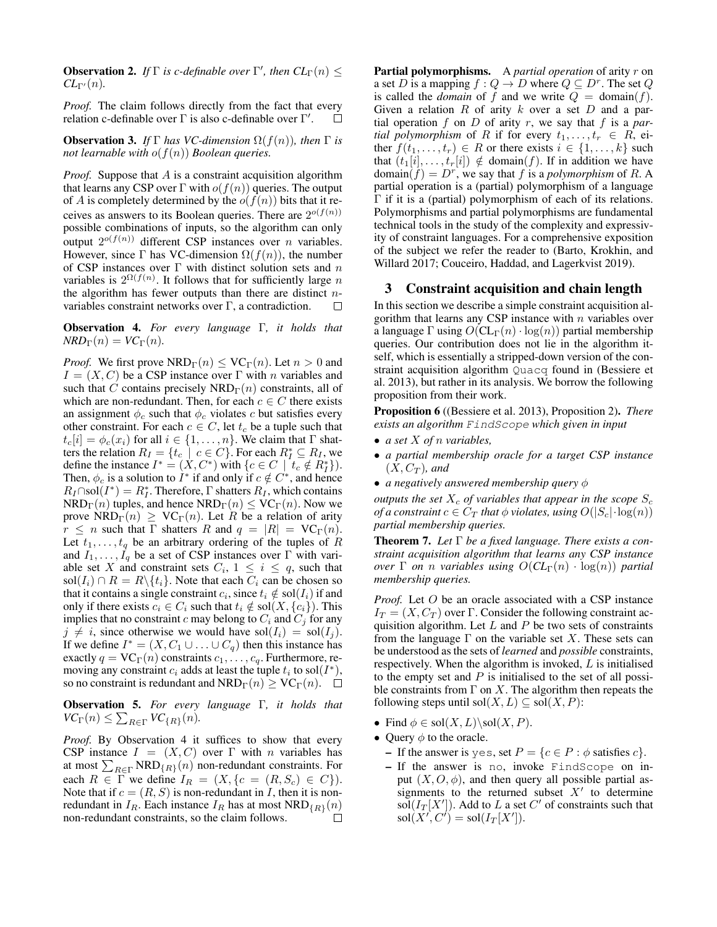**Observation 2.** *If*  $\Gamma$  *is c-definable over*  $\Gamma'$ *, then*  $CL_{\Gamma}(n) \leq$  $CL<sub>\Gamma'</sub>(n)$ *.* 

*Proof.* The claim follows directly from the fact that every relation c-definable over  $\Gamma$  is also c-definable over  $\Gamma'$ .  $\Box$ 

**Observation 3.** *If*  $\Gamma$  *has VC-dimension*  $\Omega(f(n))$ *, then*  $\Gamma$  *is not learnable with*  $o(f(n))$  *Boolean queries.* 

*Proof.* Suppose that A is a constraint acquisition algorithm that learns any CSP over  $\Gamma$  with  $o(f(n))$  queries. The output of A is completely determined by the  $o(f(n))$  bits that it receives as answers to its Boolean queries. There are  $2^{o(f(n))}$ possible combinations of inputs, so the algorithm can only output  $2^{o(f(n))}$  different CSP instances over *n* variables. However, since Γ has VC-dimension  $\Omega(f(n))$ , the number of CSP instances over  $\Gamma$  with distinct solution sets and  $n$ variables is  $2^{\Omega(f(n))}$ . It follows that for sufficiently large n the algorithm has fewer outputs than there are distinct  $n$ variables constraint networks over Γ, a contradiction.  $\Box$ 

Observation 4. *For every language* Γ*, it holds that*  $NRD_{\Gamma}(n) = VC_{\Gamma}(n)$ .

*Proof.* We first prove  $\text{NRD}_{\Gamma}(n) \leq \text{VC}_{\Gamma}(n)$ . Let  $n > 0$  and  $I = (X, C)$  be a CSP instance over Γ with *n* variables and such that C contains precisely  $\text{NRD}_{\Gamma}(n)$  constraints, all of which are non-redundant. Then, for each  $c \in C$  there exists an assignment  $\phi_c$  such that  $\phi_c$  violates c but satisfies every other constraint. For each  $c \in C$ , let  $t_c$  be a tuple such that  $t_c[i] = \phi_c(x_i)$  for all  $i \in \{1, \ldots, n\}$ . We claim that  $\Gamma$  shatters the relation  $R_I = \{t_c \mid c \in C\}$ . For each  $R_I^* \subseteq R_I$ , we define the instance  $I^* = (X, C^*)$  with  $\{c \in C \mid t_c \notin R_I^*\}$ . Then,  $\phi_c$  is a solution to  $I^*$  if and only if  $c \notin C^*$ , and hence  $R_I \cap sol(I^*) = R_I^*$ . Therefore,  $\Gamma$  shatters  $R_I$ , which contains  $\text{NRD}_{\Gamma}(n)$  tuples, and hence  $\text{NRD}_{\Gamma}(n) \leq \text{VC}_{\Gamma}(n)$ . Now we prove  $NRD_{\Gamma}(n) \geq VC_{\Gamma}(n)$ . Let R be a relation of arity  $r \leq n$  such that  $\Gamma$  shatters R and  $q = |R| = \text{VC}_{\Gamma}(n)$ . Let  $t_1, \ldots, t_q$  be an arbitrary ordering of the tuples of R and  $I_1, \ldots, I_q$  be a set of CSP instances over Γ with variable set X and constraint sets  $C_i$ ,  $1 \leq i \leq q$ , such that sol $(I_i) \cap R = R \setminus \{t_i\}$ . Note that each  $C_i$  can be chosen so that it contains a single constraint  $c_i$ , since  $t_i \notin \text{sol}(I_i)$  if and only if there exists  $c_i \in C_i$  such that  $t_i \notin sol(X, \{c_i\})$ . This implies that no constraint c may belong to  $C_i$  and  $C_j$  for any  $j \neq i$ , since otherwise we would have sol $(I_i) = sol(I_j)$ . If we define  $I^* = (X, C_1 \cup \ldots \cup C_q)$  then this instance has exactly  $q = VC_{\Gamma}(n)$  constraints  $c_1, \ldots, c_q$ . Furthermore, removing any constraint  $c_i$  adds at least the tuple  $t_i$  to sol $(I^*)$ , so no constraint is redundant and  $NRD_{\Gamma}(n) \geq VC_{\Gamma}(n)$ .  $\Box$ 

Observation 5. *For every language* Γ*, it holds that*  $VC_{\Gamma}(n) \leq \sum_{R \in \Gamma} VC_{\{R\}}(n).$ 

Proof. By Observation 4 it suffices to show that every CSP instance  $I = (X, C)$  over  $\Gamma$  with n variables has at most  $\sum_{R \in \Gamma} \text{NRD}_{\{R\}}(n)$  non-redundant constraints. For each  $R \in \Gamma$  we define  $I_R = (X, \{c = (R, S_c) \in C\}).$ Note that if  $c = (R, S)$  is non-redundant in I, then it is nonredundant in  $I_R$ . Each instance  $I_R$  has at most  $NRD_{\{R\}}(n)$ non-redundant constraints, so the claim follows. П Partial polymorphisms. A *partial operation* of arity r on a set D is a mapping  $f: Q \to D$  where  $Q \subseteq D^r$ . The set Q is called the *domain* of f and we write  $Q = \text{domain}(f)$ . Given a relation  $R$  of arity  $k$  over a set  $D$  and a partial operation  $f$  on  $D$  of arity  $r$ , we say that  $f$  is a *partial polymorphism* of R if for every  $t_1, \ldots, t_r \in R$ , either  $f(t_1, \ldots, t_r) \in R$  or there exists  $i \in \{1, \ldots, k\}$  such that  $(t_1[i], \ldots, t_r[i]) \notin \text{domain}(f)$ . If in addition we have domain $(f) = D<sup>r</sup>$ , we say that f is a *polymorphism* of R. A partial operation is a (partial) polymorphism of a language Γ if it is a (partial) polymorphism of each of its relations. Polymorphisms and partial polymorphisms are fundamental technical tools in the study of the complexity and expressivity of constraint languages. For a comprehensive exposition of the subject we refer the reader to (Barto, Krokhin, and Willard 2017; Couceiro, Haddad, and Lagerkvist 2019).

### 3 Constraint acquisition and chain length

In this section we describe a simple constraint acquisition algorithm that learns any CSP instance with  $n$  variables over a language Γ using  $O(Cl_{\Gamma}(n) \cdot \log(n))$  partial membership queries. Our contribution does not lie in the algorithm itself, which is essentially a stripped-down version of the constraint acquisition algorithm Quacq found in (Bessiere et al. 2013), but rather in its analysis. We borrow the following proposition from their work.

Proposition 6 ((Bessiere et al. 2013), Proposition 2). *There exists an algorithm* FindScope *which given in input*

- *a set* X *of* n *variables,*
- *a partial membership oracle for a target CSP instance*  $(X, C_T)$ *, and*
- *a negatively answered membership query* φ

*outputs the set*  $X_c$  *of variables that appear in the scope*  $S_c$ *of a constraint*  $c \in C_T$  *that*  $\phi$  *violates, using*  $O(|S_c| \cdot \log(n))$ *partial membership queries.*

Theorem 7. *Let* Γ *be a fixed language. There exists a constraint acquisition algorithm that learns any CSP instance over*  $\Gamma$  *on n variables using*  $O(Cl_{\Gamma}(n) \cdot \log(n))$  *partial membership queries.*

*Proof.* Let O be an oracle associated with a CSP instance  $I_T = (X, C_T)$  over Γ. Consider the following constraint acquisition algorithm. Let  $L$  and  $P$  be two sets of constraints from the language  $\Gamma$  on the variable set X. These sets can be understood as the sets of *learned* and *possible* constraints, respectively. When the algorithm is invoked,  $L$  is initialised to the empty set and  $P$  is initialised to the set of all possible constraints from  $\Gamma$  on X. The algorithm then repeats the following steps until sol $(X, L) \subseteq sol(X, P)$ :

- Find  $\phi \in sol(X, L) \setminus sol(X, P)$ .
- Query  $\phi$  to the oracle.
	- If the answer is yes, set  $P = \{c \in P : \phi \text{ satisfies } c\}.$
	- If the answer is no, invoke FindScope on input  $(X, O, \phi)$ , and then query all possible partial assignments to the returned subset  $X'$  to determine sol $(I_T[X'])$ . Add to L a set C' of constraints such that  $\text{sol}(X', C') = \text{sol}(I_T[X'])$ .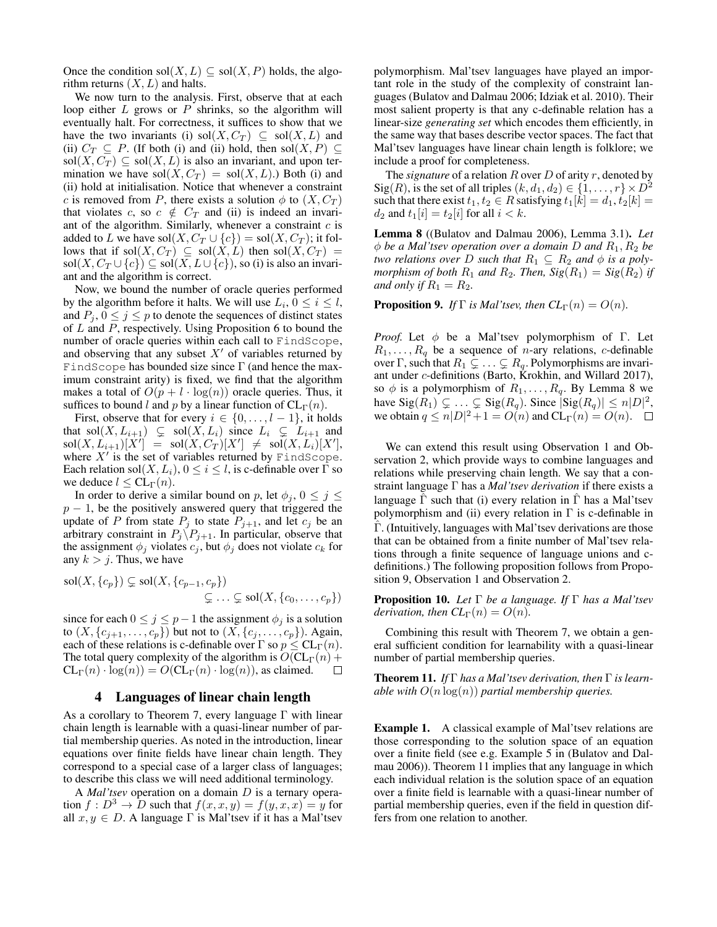Once the condition sol $(X, L) \subseteq sol(X, P)$  holds, the algorithm returns  $(X, L)$  and halts.

We now turn to the analysis. First, observe that at each loop either  $L$  grows or  $P$  shrinks, so the algorithm will eventually halt. For correctness, it suffices to show that we have the two invariants (i) sol $(X, C_T) \subseteq sol(X, L)$  and (ii)  $C_T \subseteq P$ . (If both (i) and (ii) hold, then sol $(X, P) \subseteq$ sol $(X, C_T) \subseteq sol(X, L)$  is also an invariant, and upon termination we have  $sol(X, C_T) = sol(X, L)$ .) Both (i) and (ii) hold at initialisation. Notice that whenever a constraint c is removed from P, there exists a solution  $\phi$  to  $(X, C_T)$ that violates c, so  $c \notin C_T$  and (ii) is indeed an invariant of the algorithm. Similarly, whenever a constraint  $c$  is added to L we have  $sol(X, C_T \cup \{c\}) = sol(X, C_T)$ ; it follows that if  $sol(X, C_T) \subseteq sol(X, L)$  then  $sol(X, C_T) =$  $sol(X, C_T \cup \{c\}) \subseteq sol(X, L \cup \{c\})$ , so (i) is also an invariant and the algorithm is correct.

Now, we bound the number of oracle queries performed by the algorithm before it halts. We will use  $L_i$ ,  $0 \le i \le l$ , and  $P_j$ ,  $0 \le j \le p$  to denote the sequences of distinct states of  $L$  and  $P$ , respectively. Using Proposition 6 to bound the number of oracle queries within each call to FindScope, and observing that any subset  $X'$  of variables returned by FindScope has bounded size since  $\Gamma$  (and hence the maximum constraint arity) is fixed, we find that the algorithm makes a total of  $O(p + l \cdot \log(n))$  oracle queries. Thus, it suffices to bound l and p by a linear function of  $CL<sub>\Gamma</sub>(n)$ .

First, observe that for every  $i \in \{0, \ldots, l-1\}$ , it holds that sol $(X, L_{i+1}) \subsetneq$  sol $(X, L_i)$  since  $L_i \subsetneq L_{i+1}$  and  $\mathrm{sol}(X,L_{i+1})[X'] \hspace{1mm} = \hspace{1mm} \mathrm{sol}(X,C_T)[X'] \hspace{1mm} \neq \hspace{1mm} \mathrm{sol}(X,L_i)[X'],$ where  $X'$  is the set of variables returned by FindScope. Each relation sol $(X, L_i)$ ,  $0 \le i \le l$ , is c-definable over  $\Gamma$  so we deduce  $l \leq CL_{\Gamma}(n)$ .

In order to derive a similar bound on p, let  $\phi_j$ ,  $0 \le j \le$  $p - 1$ , be the positively answered query that triggered the update of P from state  $P_j$  to state  $P_{j+1}$ , and let  $c_j$  be an arbitrary constraint in  $P_j \backslash P_{j+1}$ . In particular, observe that the assignment  $\phi_j$  violates  $c_j$ , but  $\phi_j$  does not violate  $c_k$  for any  $k > j$ . Thus, we have

$$
sol(X, \{c_p\}) \subsetneq sol(X, \{c_{p-1}, c_p\})
$$
  

$$
\subsetneq \dots \subsetneq sol(X, \{c_0, \dots, c_p\})
$$

since for each  $0 \le j \le p-1$  the assignment  $\phi_j$  is a solution to  $(X, \{c_{j+1}, \ldots, c_p\})$  but not to  $(X, \{c_j, \ldots, c_p\})$ . Again, each of these relations is c-definable over  $\Gamma$  so  $p \leq CL_{\Gamma}(n)$ . The total query complexity of the algorithm is  $O(Cl_{\Gamma}(n) +$  $CL<sub>\Gamma</sub>(n) \cdot log(n)) = OCL<sub>\Gamma</sub>(n) \cdot log(n))$ , as claimed.  $\Box$ 

### 4 Languages of linear chain length

As a corollary to Theorem 7, every language  $\Gamma$  with linear chain length is learnable with a quasi-linear number of partial membership queries. As noted in the introduction, linear equations over finite fields have linear chain length. They correspond to a special case of a larger class of languages; to describe this class we will need additional terminology.

A *Mal'tsev* operation on a domain D is a ternary operation  $f: D^3 \to \overline{D}$  such that  $f(x, x, y) = f(y, x, x) = y$  for all  $x, y \in D$ . A language  $\Gamma$  is Mal'tsev if it has a Mal'tsev polymorphism. Mal'tsev languages have played an important role in the study of the complexity of constraint languages (Bulatov and Dalmau 2006; Idziak et al. 2010). Their most salient property is that any c-definable relation has a linear-size *generating set* which encodes them efficiently, in the same way that bases describe vector spaces. The fact that Mal'tsev languages have linear chain length is folklore; we include a proof for completeness.

The *signature* of a relation  $R$  over  $D$  of arity  $r$ , denoted by  $Sig(R)$ , is the set of all triples  $(k, d_1, d_2) \in \{1, \ldots, r\} \times D^2$ such that there exist  $t_1, t_2 \in R$  satisfying  $t_1[k] = d_1, t_2[k] =$  $d_2$  and  $t_1[i] = t_2[i]$  for all  $i < k$ .

Lemma 8 ((Bulatov and Dalmau 2006), Lemma 3.1). *Let*  $\phi$  *be a Mal'tsev operation over a domain* D *and*  $R_1, R_2$  *be two relations over D such that*  $R_1 \subseteq R_2$  *and*  $\phi$  *is a polymorphism of both*  $R_1$  *and*  $R_2$ *. Then,*  $Sig(R_1) = Sig(R_2)$  *if and only if*  $R_1 = R_2$ *.* 

**Proposition 9.** *If*  $\Gamma$  *is Mal'tsev, then*  $CL_{\Gamma}(n) = O(n)$ *.* 

*Proof.* Let  $\phi$  be a Mal'tsev polymorphism of Γ. Let  $R_1, \ldots, R_q$  be a sequence of *n*-ary relations, *c*-definable over Γ, such that  $R_1 \subsetneq \ldots \subsetneq R_q$ . Polymorphisms are invariant under c-definitions (Barto, Krokhin, and Willard 2017), so  $\phi$  is a polymorphism of  $R_1, \ldots, R_q$ . By Lemma 8 we have  $\text{Sig}(R_1) \subsetneq \ldots \subsetneq \text{Sig}(R_q)$ . Since  $|\text{Sig}(R_q)| \leq n|D|^2$ , we obtain  $q \le n|D|^2 + 1 = O(n)$  and  $CL_\Gamma(n) = O(n)$ .

We can extend this result using Observation 1 and Observation 2, which provide ways to combine languages and relations while preserving chain length. We say that a constraint language Γ has a *Mal'tsev derivation* if there exists a language  $\hat{\Gamma}$  such that (i) every relation in  $\hat{\Gamma}$  has a Mal'tsev polymorphism and (ii) every relation in  $\Gamma$  is c-definable in Γˆ. (Intuitively, languages with Mal'tsev derivations are those that can be obtained from a finite number of Mal'tsev relations through a finite sequence of language unions and cdefinitions.) The following proposition follows from Proposition 9, Observation 1 and Observation 2.

Proposition 10. *Let* Γ *be a language. If* Γ *has a Mal'tsev derivation, then*  $CL<sub>\Gamma</sub>(n) = O(n)$ *.* 

Combining this result with Theorem 7, we obtain a general sufficient condition for learnability with a quasi-linear number of partial membership queries.

Theorem 11. *If* Γ *has a Mal'tsev derivation, then* Γ *is learnable with* O(n log(n)) *partial membership queries.*

Example 1. A classical example of Mal'tsev relations are those corresponding to the solution space of an equation over a finite field (see e.g. Example 5 in (Bulatov and Dalmau 2006)). Theorem 11 implies that any language in which each individual relation is the solution space of an equation over a finite field is learnable with a quasi-linear number of partial membership queries, even if the field in question differs from one relation to another.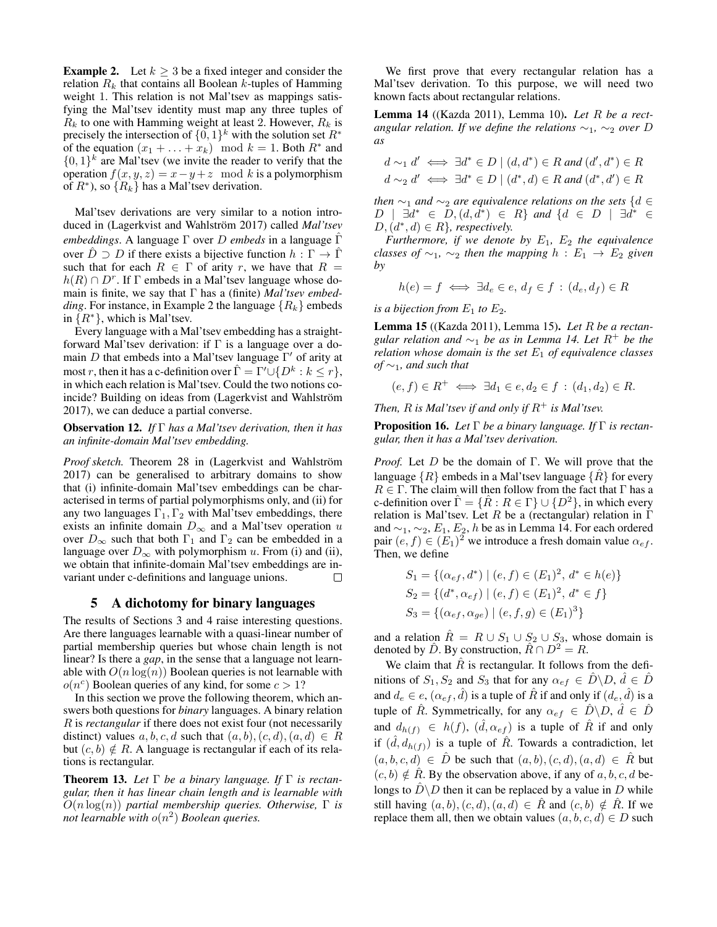**Example 2.** Let  $k \geq 3$  be a fixed integer and consider the relation  $R_k$  that contains all Boolean k-tuples of Hamming weight 1. This relation is not Mal'tsev as mappings satisfying the Mal'tsev identity must map any three tuples of  $R_k$  to one with Hamming weight at least 2. However,  $R_k$  is precisely the intersection of  $\{0,1\}^k$  with the solution set  $R^*$ of the equation  $(x_1 + \ldots + x_k)$  mod  $k = 1$ . Both  $R^*$  and  $\{0,1\}^k$  are Mal'tsev (we invite the reader to verify that the operation  $f(x, y, z) = x - y + z \mod k$  is a polymorphism of  $R^*$ ), so  $\{R_k\}$  has a Mal'tsev derivation.

Mal'tsev derivations are very similar to a notion introduced in (Lagerkvist and Wahlström 2017) called *Mal'tsev embeddings*. A language Γ over D *embeds* in a language Γˆ over  $\hat{D} \supset D$  if there exists a bijective function  $h : \Gamma \to \hat{\Gamma}$ such that for each  $R \in \Gamma$  of arity r, we have that  $R =$  $h(R) \cap D<sup>r</sup>$ . If  $\Gamma$  embeds in a Mal'tsev language whose domain is finite, we say that Γ has a (finite) *Mal'tsev embedding*. For instance, in Example 2 the language  $\{R_k\}$  embeds in  $\{R^*\}$ , which is Mal'tsev.

Every language with a Mal'tsev embedding has a straightforward Mal'tsev derivation: if  $\Gamma$  is a language over a domain D that embeds into a Mal'tsev language  $\Gamma'$  of arity at most r, then it has a c-definition over  $\hat{\Gamma} = \Gamma' \cup \{D^k : k \leq r\},$ in which each relation is Mal'tsev. Could the two notions coincide? Building on ideas from (Lagerkvist and Wahlström 2017), we can deduce a partial converse.

#### Observation 12. *If* Γ *has a Mal'tsev derivation, then it has an infinite-domain Mal'tsev embedding.*

*Proof sketch.* Theorem 28 in (Lagerkvist and Wahlström 2017) can be generalised to arbitrary domains to show that (i) infinite-domain Mal'tsev embeddings can be characterised in terms of partial polymorphisms only, and (ii) for any two languages  $\Gamma_1, \Gamma_2$  with Mal'tsev embeddings, there exists an infinite domain  $D_{\infty}$  and a Mal'tsev operation u over  $D_{\infty}$  such that both  $\Gamma_1$  and  $\Gamma_2$  can be embedded in a language over  $D_{\infty}$  with polymorphism u. From (i) and (ii), we obtain that infinite-domain Mal'tsev embeddings are invariant under c-definitions and language unions. П

## 5 A dichotomy for binary languages

The results of Sections 3 and 4 raise interesting questions. Are there languages learnable with a quasi-linear number of partial membership queries but whose chain length is not linear? Is there a *gap*, in the sense that a language not learnable with  $O(n \log(n))$  Boolean queries is not learnable with  $o(n^c)$  Boolean queries of any kind, for some  $c > 1$ ?

In this section we prove the following theorem, which answers both questions for *binary* languages. A binary relation R is *rectangular* if there does not exist four (not necessarily distinct) values  $a, b, c, d$  such that  $(a, b), (c, d), (a, d) \in R$ but  $(c, b) \notin R$ . A language is rectangular if each of its relations is rectangular.

Theorem 13. *Let* Γ *be a binary language. If* Γ *is rectangular, then it has linear chain length and is learnable with* O(n log(n)) *partial membership queries. Otherwise,* Γ *is not learnable with* o(n 2 ) *Boolean queries.*

We first prove that every rectangular relation has a Mal'tsev derivation. To this purpose, we will need two known facts about rectangular relations.

Lemma 14 ((Kazda 2011), Lemma 10). *Let* R *be a rectangular relation. If we define the relations*  $\sim_1$ *,*  $\sim_2$  *over* D *as*

$$
d \sim_1 d' \iff \exists d^* \in D \mid (d, d^*) \in R \text{ and } (d', d^*) \in R
$$
  

$$
d \sim_2 d' \iff \exists d^* \in D \mid (d^*, d) \in R \text{ and } (d^*, d') \in R
$$

*then*  $\sim_1$  *and*  $\sim_2$  *are equivalence relations on the sets* {*d* ∈  $D$  | ∃ $d^*$  ∈  $D$ ,  $(d, d^*)$  ∈  $R$ } and  $\{d \in D$  | ∃ $d^*$  ∈  $D, (d^*, d) \in R$ , respectively.

*Furthermore, if we denote by*  $E_1$ ,  $E_2$  *the equivalence classes of*  $\sim_1$ ,  $\sim_2$  *then the mapping*  $h : E_1 \rightarrow E_2$  *given by*

$$
h(e) = f \iff \exists d_e \in e, d_f \in f : (d_e, d_f) \in R
$$

*is a bijection from*  $E_1$  *to*  $E_2$ *.* 

Lemma 15 ((Kazda 2011), Lemma 15). *Let* R *be a rectangular relation and* ∼<sup>1</sup> *be as in Lemma 14. Let* R<sup>+</sup> *be the relation whose domain is the set*  $E_1$  *of equivalence classes of* ∼1*, and such that*

$$
(e, f) \in R^+ \iff \exists d_1 \in e, d_2 \in f : (d_1, d_2) \in R.
$$

*Then,*  $R$  *is Mal'tsev if and only if*  $R^+$  *is Mal'tsev.* 

Proposition 16. *Let* Γ *be a binary language. If* Γ *is rectangular, then it has a Mal'tsev derivation.*

*Proof.* Let D be the domain of Γ. We will prove that the language  $\{R\}$  embeds in a Mal'tsev language  $\{\hat{R}\}$  for every  $R \in \Gamma$ . The claim will then follow from the fact that  $\Gamma$  has a c-definition over  $\hat{\Gamma} = \{ \hat{R} : R \in \Gamma \} \cup \{ D^2 \}$ , in which every relation is Mal'tsev. Let R be a (rectangular) relation in  $\Gamma$ and  $\sim_1$ ,  $\sim_2$ ,  $E_1$ ,  $E_2$ , h be as in Lemma 14. For each ordered pair  $(e, f) \in (E_1)^2$  we introduce a fresh domain value  $\alpha_{ef}$ . Then, we define

$$
S_1 = \{ (\alpha_{ef}, d^*) \mid (e, f) \in (E_1)^2, d^* \in h(e) \}
$$
  
\n
$$
S_2 = \{ (d^*, \alpha_{ef}) \mid (e, f) \in (E_1)^2, d^* \in f \}
$$
  
\n
$$
S_3 = \{ (\alpha_{ef}, \alpha_{ge}) \mid (e, f, g) \in (E_1)^3 \}
$$

and a relation  $\hat{R} = R \cup S_1 \cup S_2 \cup S_3$ , whose domain is denoted by  $\hat{D}$ . By construction,  $\hat{R} \cap D^2 = R$ .

We claim that  $\hat{R}$  is rectangular. It follows from the definitions of  $S_1, S_2$  and  $S_3$  that for any  $\alpha_{ef} \in \hat{D} \backslash D$ ,  $\hat{d} \in \hat{D}$ and  $d_e \in e$ ,  $(\alpha_{ef}, \hat{d})$  is a tuple of  $\hat{R}$  if and only if  $(d_e, \hat{d})$  is a tuple of  $\hat{R}$ . Symmetrically, for any  $\alpha_{ef} \in \hat{D} \backslash D$ ,  $\hat{d} \in \hat{D}$ and  $d_{h(f)} \in h(f)$ ,  $(\hat{d}, \alpha_{ef})$  is a tuple of  $\hat{R}$  if and only if  $(\hat{d}, d_{h(f)})$  is a tuple of  $\hat{R}$ . Towards a contradiction, let  $(a, b, c, d) \in \hat{D}$  be such that  $(a, b), (c, d), (a, d) \in \hat{R}$  but  $(c, b) \notin R$ . By the observation above, if any of a, b, c, d belongs to  $\hat{D} \backslash D$  then it can be replaced by a value in D while still having  $(a, b), (c, d), (a, d) \in \hat{R}$  and  $(c, b) \notin \hat{R}$ . If we replace them all, then we obtain values  $(a, b, c, d) \in D$  such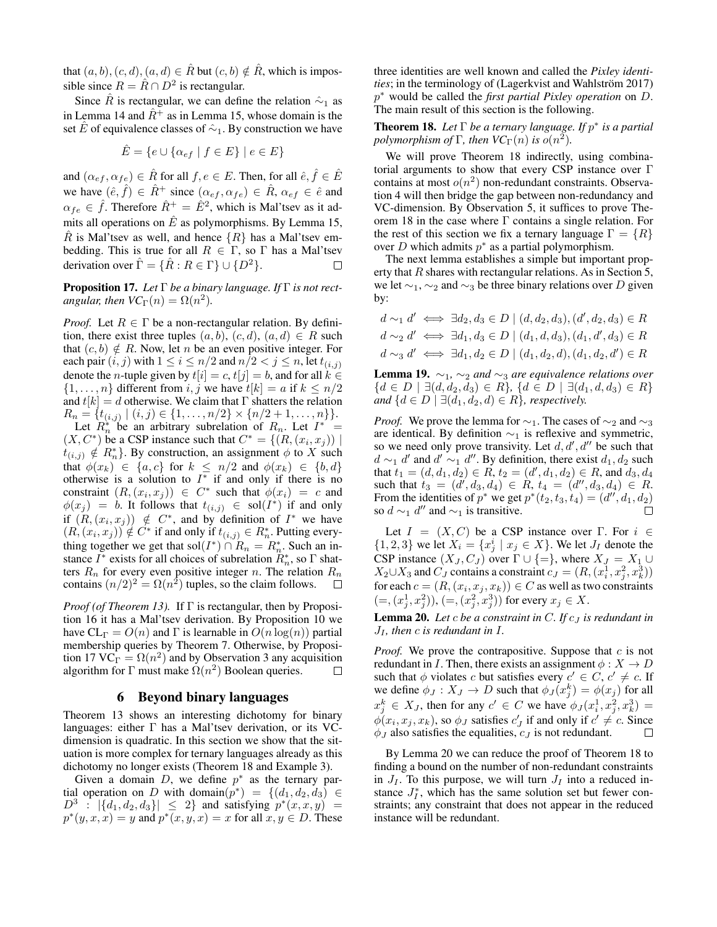that  $(a, b), (c, d), (a, d) \in \hat{R}$  but  $(c, b) \notin \hat{R}$ , which is impossible since  $R = \hat{R} \cap D^2$  is rectangular.

Since  $\hat{R}$  is rectangular, we can define the relation  $\hat{\sim}_1$  as in Lemma 14 and  $\hat{R}^+$  as in Lemma 15, whose domain is the set E of equivalence classes of  $\hat{\sim}_1$ . By construction we have

$$
\hat{E} = \{ e \cup \{ \alpha_{ef} \mid f \in E \} \mid e \in E \}
$$

and  $(\alpha_{ef}, \alpha_{fe}) \in \hat{R}$  for all  $f, e \in E$ . Then, for all  $\hat{e}, \hat{f} \in \hat{E}$ we have  $(\hat{e}, \hat{f}) \in \hat{R}^+$  since  $(\alpha_{ef}, \alpha_{fe}) \in \hat{R}$ ,  $\alpha_{ef} \in \hat{e}$  and  $\alpha_{fe} \in \hat{f}$ . Therefore  $\hat{R}^+ = \hat{E}^2$ , which is Mal'tsev as it admits all operations on  $\hat{E}$  as polymorphisms. By Lemma 15,  $\hat{R}$  is Mal'tsev as well, and hence  $\{R\}$  has a Mal'tsev embedding. This is true for all  $R \in \Gamma$ , so  $\Gamma$  has a Mal'tsev derivation over  $\hat{\Gamma} = \{ \hat{R} : R \in \Gamma \} \cup \{ D^2 \}.$ 

Proposition 17. *Let* Γ *be a binary language. If* Γ *is not rectangular, then*  $VC_{\Gamma}(n) = \Omega(n^2)$ *.* 

*Proof.* Let  $R \in \Gamma$  be a non-rectangular relation. By definition, there exist three tuples  $(a, b)$ ,  $(c, d)$ ,  $(a, d) \in R$  such that  $(c, b) \notin R$ . Now, let n be an even positive integer. For each pair  $(i, j)$  with  $1 \le i \le n/2$  and  $n/2 < j \le n$ , let  $t_{(i,j)}$ denote the *n*-tuple given by  $t[i] = c$ ,  $t[j] = b$ , and for all  $k \in \mathbb{R}$  $\{1, \ldots, n\}$  different from  $i, j$  we have  $t[k] = a$  if  $k \leq n/2$ and  $t[k] = d$  otherwise. We claim that Γ shatters the relation  $R_n = \{t_{(i,j)} \mid (i,j) \in \{1, \ldots, n/2\} \times \{n/2+1, \ldots, n\}\}.$ 

Let  $R_n^*$  be an arbitrary subrelation of  $R_n$ . Let  $I^*$  =  $(X, C^*)$  be a CSP instance such that  $C^* = \{(R, (x_i, x_j)) \mid$  $t_{(i,j)} \notin R_n^*$ . By construction, an assignment  $\phi$  to X such that  $\phi(x_k) \in \{a, c\}$  for  $k \leq n/2$  and  $\phi(x_k) \in \{b, d\}$ otherwise is a solution to  $I^*$  if and only if there is no constraint  $(R, (x_i, x_j)) \in C^*$  such that  $\phi(x_i) = c$  and  $\phi(x_j) = b$ . It follows that  $t_{(i,j)} \in sol(I^*)$  if and only if  $(R, (x_i, x_j)) \notin C^*$ , and by definition of  $I^*$  we have  $(R, (x_i, x_j)) \notin C^*$  if and only if  $t_{(i,j)} \in R_n^*$ . Putting everything together we get that  $\text{sol}(I^*) \cap R_n = R_n^*$ . Such an instance  $\overline{I}^*$  exists for all choices of subrelation  $\overline{R}_n^*$ , so  $\Gamma$  shatters  $R_n$  for every even positive integer n. The relation  $R_n$ contains  $(n/2)^2 = \Omega(n^2)$  tuples, so the claim follows.  $\Box$ 

*Proof (of Theorem 13).* If  $\Gamma$  is rectangular, then by Proposition 16 it has a Mal'tsev derivation. By Proposition 10 we have  $CL_{\Gamma} = O(n)$  and  $\Gamma$  is learnable in  $O(n \log(n))$  partial membership queries by Theorem 7. Otherwise, by Proposition 17 VC<sub>Γ</sub> =  $\Omega(n^2)$  and by Observation 3 any acquisition algorithm for  $\Gamma$  must make  $\Omega(n^2)$  Boolean queries.  $\Box$ 

#### 6 Beyond binary languages

Theorem 13 shows an interesting dichotomy for binary languages: either Γ has a Mal'tsev derivation, or its VCdimension is quadratic. In this section we show that the situation is more complex for ternary languages already as this dichotomy no longer exists (Theorem 18 and Example 3).

Given a domain  $D$ , we define  $p^*$  as the ternary partial operation on D with domain $(p^*) = \{(d_1, d_2, d_3) \in$  $D^3$  :  $|\{d_1, d_2, d_3\}| \leq 2$  and satisfying  $p^*(x, x, y) =$  $p^*(y, x, x) = y$  and  $p^*(x, y, x) = x$  for all  $x, y \in D$ . These three identities are well known and called the *Pixley identities*; in the terminology of (Lagerkvist and Wahlström 2017) p <sup>∗</sup> would be called the *first partial Pixley operation* on D. The main result of this section is the following.

# **Theorem 18.** Let  $\Gamma$  be a ternary language. If  $p^*$  is a partial *polymorphism of*  $\Gamma$ *, then*  $VC_{\Gamma}(n)$  *is*  $o(n^2)$ *.*

We will prove Theorem 18 indirectly, using combinatorial arguments to show that every CSP instance over Γ contains at most  $o(n^2)$  non-redundant constraints. Observation 4 will then bridge the gap between non-redundancy and VC-dimension. By Observation 5, it suffices to prove Theorem 18 in the case where Γ contains a single relation. For the rest of this section we fix a ternary language  $\Gamma = \{R\}$ over D which admits  $p^*$  as a partial polymorphism.

The next lemma establishes a simple but important property that  $R$  shares with rectangular relations. As in Section 5, we let  $\sim_1$ ,  $\sim_2$  and  $\sim_3$  be three binary relations over D given by:

$$
d \sim_1 d' \iff \exists d_2, d_3 \in D \mid (d, d_2, d_3), (d', d_2, d_3) \in R
$$
  
\n
$$
d \sim_2 d' \iff \exists d_1, d_3 \in D \mid (d_1, d, d_3), (d_1, d', d_3) \in R
$$
  
\n
$$
d \sim_3 d' \iff \exists d_1, d_2 \in D \mid (d_1, d_2, d), (d_1, d_2, d') \in R
$$

**Lemma 19.**  $\sim_1$ ,  $\sim_2$  *and*  $\sim_3$  *are equivalence relations over*  ${d \in D \mid \exists (d, d_2, d_3) \in R}, {d \in D \mid \exists (d_1, d, d_3) \in R}$ *and*  $\{d \in D \mid \exists (d_1, d_2, d) \in R\}$ *, respectively.* 

*Proof.* We prove the lemma for  $\sim_1$ . The cases of  $\sim_2$  and  $\sim_3$ are identical. By definition  $\sim_1$  is reflexive and symmetric, so we need only prove transivity. Let  $d, d', d''$  be such that  $d \sim_1 d'$  and  $d' \sim_1 d''$ . By definition, there exist  $d_1, d_2$  such that  $t_1 = (d, d_1, d_2) \in R$ ,  $t_2 = (d', d_1, d_2) \in R$ , and  $d_3, d_4$ such that  $t_3 = (d', d_3, d_4) \in R$ ,  $t_4 = (d'', d_3, d_4) \in R$ . From the identities of  $p^*$  we get  $p^*(t_2, t_3, t_4) = (d'', d_1, d_2)$ so  $d \sim_1 d''$  and  $\sim_1$  is transitive.

Let  $I = (X, C)$  be a CSP instance over Γ. For  $i \in$  $\{1,2,3\}$  we let  $X_i = \{x_j^i \mid x_j \in X\}$ . We let  $J_I$  denote the CSP instance  $(X_J, C_J)$  over  $\Gamma \cup \{=\}$ , where  $X_J = X_1 \cup$  $X_2 \cup X_3$  and  $C_J$  contains a constraint  $c_J = (R, (x_i^1, x_j^2, x_k^3))$ for each  $c = (R,(x_i,x_j,x_k)) \in C$  as well as two constraints  $(=(x_j^1, x_j^2)), (=(x_j^2, x_j^3))$  for every  $x_j \in X$ .

**Lemma 20.** Let c be a constraint in C. If  $c_J$  is redundant in  $J_I$ *, then*  $c$  *is redundant in*  $I$ *.* 

*Proof.* We prove the contrapositive. Suppose that  $c$  is not redundant in I. Then, there exists an assignment  $\phi: X \to D$ such that  $\phi$  violates c but satisfies every  $c' \in C$ ,  $c' \neq c$ . If we define  $\phi_J : X_J \to D$  such that  $\phi_J(x_j^k) = \phi(x_j)$  for all  $x_j^k \in X_J$ , then for any  $c' \in C$  we have  $\phi_J(x_i^1, x_j^2, x_k^3) =$  $\phi(x_i, x_j, x_k)$ , so  $\phi_J$  satisfies  $c'_J$  if and only if  $c' \neq c$ . Since  $\phi_J$  also satisfies the equalities,  $c_J$  is not redundant.  $\Box$ 

By Lemma 20 we can reduce the proof of Theorem 18 to finding a bound on the number of non-redundant constraints in  $J_I$ . To this purpose, we will turn  $J_I$  into a reduced instance  $J_I^*$ , which has the same solution set but fewer constraints; any constraint that does not appear in the reduced instance will be redundant.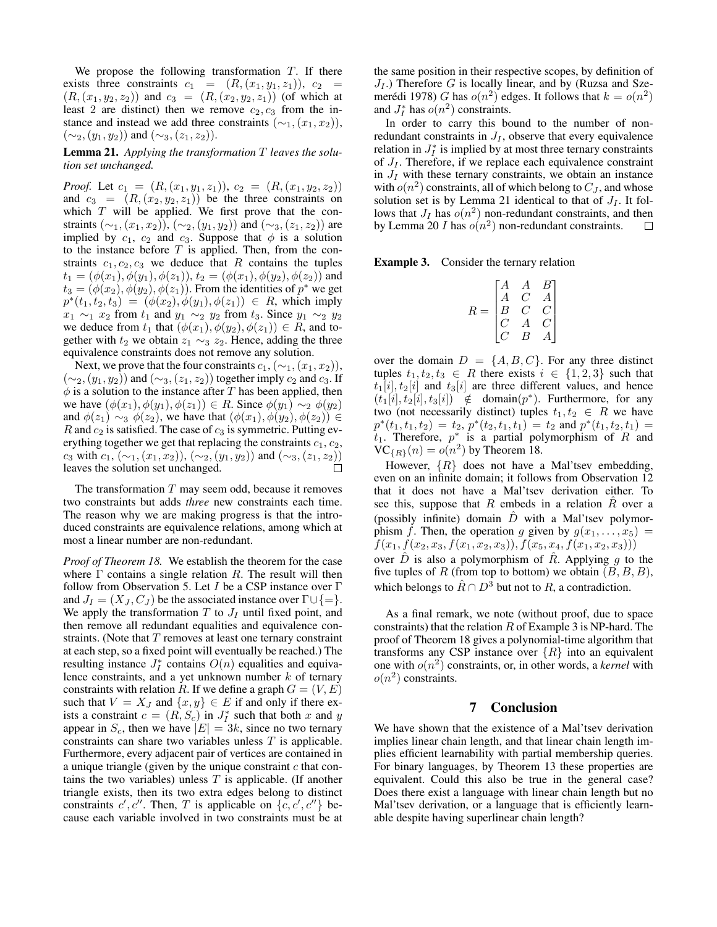We propose the following transformation  $T$ . If there exists three constraints  $c_1 = (R, (x_1, y_1, z_1)), c_2 =$  $(R, (x_1, y_2, z_2))$  and  $c_3 = (R, (x_2, y_2, z_1))$  (of which at least 2 are distinct) then we remove  $c_2, c_3$  from the instance and instead we add three constraints  $(\sim_1, (x_1, x_2))$ ,  $(\sim_2, (y_1, y_2))$  and  $(\sim_3, (z_1, z_2))$ .

Lemma 21. *Applying the transformation* T *leaves the solution set unchanged.*

*Proof.* Let  $c_1 = (R, (x_1, y_1, z_1)), c_2 = (R, (x_1, y_2, z_2))$ and  $c_3 = (R, (x_2, y_2, z_1))$  be the three constraints on which  $T$  will be applied. We first prove that the constraints  $(\sim_1, (x_1, x_2))$ ,  $(\sim_2, (y_1, y_2))$  and  $(\sim_3, (z_1, z_2))$  are implied by  $c_1$ ,  $c_2$  and  $c_3$ . Suppose that  $\phi$  is a solution to the instance before  $T$  is applied. Then, from the constraints  $c_1, c_2, c_3$  we deduce that R contains the tuples  $t_1 = (\phi(x_1), \phi(y_1), \phi(z_1)),$   $t_2 = (\phi(x_1), \phi(y_2), \phi(z_2))$  and  $t_3 = (\phi(x_2), \phi(y_2), \phi(z_1))$ . From the identities of  $p^*$  we get  $p^*(t_1, t_2, t_3) = (\phi(x_2), \phi(y_1), \phi(z_1)) \in R$ , which imply  $x_1 \sim_1 x_2$  from  $t_1$  and  $y_1 \sim_2 y_2$  from  $t_3$ . Since  $y_1 \sim_2 y_2$ we deduce from  $t_1$  that  $(\phi(x_1), \phi(y_2), \phi(z_1)) \in R$ , and together with  $t_2$  we obtain  $z_1 \sim_3 z_2$ . Hence, adding the three equivalence constraints does not remove any solution.

Next, we prove that the four constraints  $c_1, (\sim_1, (x_1, x_2))$ ,  $(\sim_2, (y_1, y_2))$  and  $(\sim_3, (z_1, z_2))$  together imply  $c_2$  and  $c_3$ . If  $\phi$  is a solution to the instance after T has been applied, then we have  $(\phi(x_1), \phi(y_1), \phi(z_1)) \in R$ . Since  $\phi(y_1) \sim_2 \phi(y_2)$ and  $\phi(z_1) \sim_3 \phi(z_2)$ , we have that  $(\phi(x_1), \phi(y_2), \phi(z_2)) \in$  $R$  and  $c_2$  is satisfied. The case of  $c_3$  is symmetric. Putting everything together we get that replacing the constraints  $c_1, c_2$ , c<sub>3</sub> with c<sub>1</sub>, (∼<sub>1</sub>, ( $x_1, x_2$ )), (∼<sub>2</sub>, ( $y_1, y_2$ )) and (∼<sub>3</sub>, ( $z_1, z_2$ ))<br>leaves the solution set unchanged leaves the solution set unchanged.

The transformation  $T$  may seem odd, because it removes two constraints but adds *three* new constraints each time. The reason why we are making progress is that the introduced constraints are equivalence relations, among which at most a linear number are non-redundant.

*Proof of Theorem 18.* We establish the theorem for the case where  $\Gamma$  contains a single relation R. The result will then follow from Observation 5. Let I be a CSP instance over Γ and  $J_I = (X_J, C_J)$  be the associated instance over  $\Gamma \cup \{=\}.$ We apply the transformation  $T$  to  $J_I$  until fixed point, and then remove all redundant equalities and equivalence constraints. (Note that  $T$  removes at least one ternary constraint at each step, so a fixed point will eventually be reached.) The resulting instance  $J_I^*$  contains  $O(n)$  equalities and equivalence constraints, and a yet unknown number  $k$  of ternary constraints with relation R. If we define a graph  $G = (V, E)$ such that  $V = X_J$  and  $\{x, y\} \in E$  if and only if there exists a constraint  $c = (R, S_c)$  in  $J_I^*$  such that both x and y appear in  $S_c$ , then we have  $|E| = 3k$ , since no two ternary constraints can share two variables unless  $T$  is applicable. Furthermore, every adjacent pair of vertices are contained in a unique triangle (given by the unique constraint  $c$  that contains the two variables) unless  $T$  is applicable. (If another triangle exists, then its two extra edges belong to distinct constraints  $c', c''$ . Then, T is applicable on  $\{c, c', c''\}$  because each variable involved in two constraints must be at

the same position in their respective scopes, by definition of  $J_I$ .) Therefore G is locally linear, and by (Ruzsa and Szemerédi 1978) G has  $o(n^2)$  edges. It follows that  $k = o(n^2)$ and  $J_I^*$  has  $o(n^2)$  constraints.

In order to carry this bound to the number of nonredundant constraints in  $J_I$ , observe that every equivalence relation in  $J_I^*$  is implied by at most three ternary constraints of  $J_I$ . Therefore, if we replace each equivalence constraint in  $J_I$  with these ternary constraints, we obtain an instance with  $o(n^2)$  constraints, all of which belong to  $C_J$ , and whose solution set is by Lemma 21 identical to that of  $J_I$ . It follows that  $J_I$  has  $o(n^2)$  non-redundant constraints, and then by Lemma 20 *I* has  $o(n^2)$  non-redundant constraints. П

Example 3. Consider the ternary relation

$$
R = \begin{bmatrix} A & A & B \\ A & C & A \\ B & C & C \\ C & A & C \\ C & B & A \end{bmatrix}
$$

over the domain  $D = \{A, B, C\}$ . For any three distinct tuples  $t_1, t_2, t_3 \in R$  there exists  $i \in \{1, 2, 3\}$  such that  $t_1[i], t_2[i]$  and  $t_3[i]$  are three different values, and hence  $(t_1[i], t_2[i], t_3[i]) \notin \text{domain}(p^*)$ . Furthermore, for any two (not necessarily distinct) tuples  $t_1, t_2 \in R$  we have  $p^*(t_1, t_1, t_2) = t_2, p^*(t_2, t_1, t_1) = t_2$  and  $p^*(t_1, t_2, t_1) =$  $t_1$ . Therefore,  $p^*$  is a partial polymorphism of R and  $VC_{{R}}(n) = o(n^2)$  by Theorem 18.

However,  $\{R\}$  does not have a Mal'tsev embedding, even on an infinite domain; it follows from Observation 12 that it does not have a Mal'tsev derivation either. To see this, suppose that R embeds in a relation  $\hat{R}$  over a (possibly infinite) domain  $D$  with a Mal'tsev polymorphism f. Then, the operation g given by  $g(x_1, \ldots, x_5)$  =  $f(x_1, f(x_2, x_3, f(x_1, x_2, x_3)), f(x_5, x_4, f(x_1, x_2, x_3)))$ over  $\hat{D}$  is also a polymorphism of  $\hat{R}$ . Applying q to the five tuples of R (from top to bottom) we obtain  $(B, B, B)$ , which belongs to  $\hat{R} \cap D^3$  but not to R, a contradiction.

As a final remark, we note (without proof, due to space constraints) that the relation  $R$  of Example 3 is NP-hard. The proof of Theorem 18 gives a polynomial-time algorithm that transforms any CSP instance over  $\{R\}$  into an equivalent one with  $o(n^2)$  constraints, or, in other words, a *kernel* with  $o(n^2)$  constraints.

### 7 Conclusion

We have shown that the existence of a Mal'tsev derivation implies linear chain length, and that linear chain length implies efficient learnability with partial membership queries. For binary languages, by Theorem 13 these properties are equivalent. Could this also be true in the general case? Does there exist a language with linear chain length but no Mal'tsev derivation, or a language that is efficiently learnable despite having superlinear chain length?